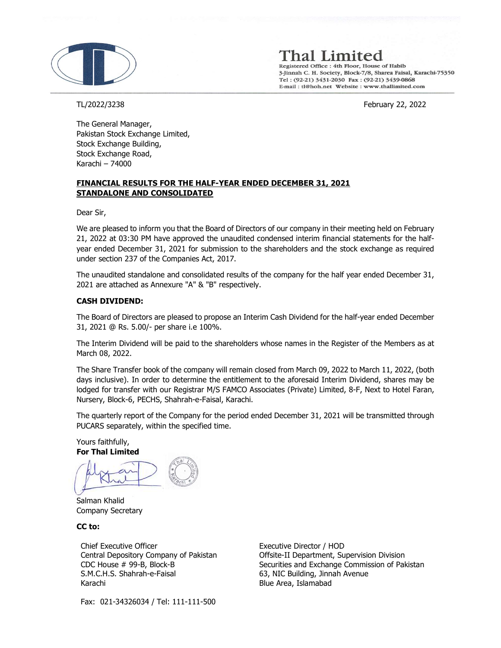

Thal Limited

Registered Office : 4th Floor, House of Habib 3-Jinnah C. H. Society, Block-7/8, Sharea Faisal, Karachi-75350 Tel: (92-21) 3431-2030 Fax: (92-21) 3439-0868 E-mail: tl@hoh.net Website: www.thallimited.com

TL/2022/3238 February 22, 2022

The General Manager, Pakistan Stock Exchange Limited, Stock Exchange Building, Stock Exchange Road, Karachi – 74000

# FINANCIAL RESULTS FOR THE HALF-YEAR ENDED DECEMBER 31, 2021 STANDALONE AND CONSOLIDATED

Dear Sir,

We are pleased to inform you that the Board of Directors of our company in their meeting held on February 21, 2022 at 03:30 PM have approved the unaudited condensed interim financial statements for the halfyear ended December 31, 2021 for submission to the shareholders and the stock exchange as required under section 237 of the Companies Act, 2017.

The unaudited standalone and consolidated results of the company for the half year ended December 31, 2021 are attached as Annexure "A" & "B" respectively.

# CASH DIVIDEND:

The Board of Directors are pleased to propose an Interim Cash Dividend for the half-year ended December 31, 2021 @ Rs. 5.00/- per share i.e 100%.

The Interim Dividend will be paid to the shareholders whose names in the Register of the Members as at March 08, 2022.

The Share Transfer book of the company will remain closed from March 09, 2022 to March 11, 2022, (both days inclusive). In order to determine the entitlement to the aforesaid Interim Dividend, shares may be lodged for transfer with our Registrar M/S FAMCO Associates (Private) Limited, 8-F, Next to Hotel Faran, Nursery, Block-6, PECHS, Shahrah-e-Faisal, Karachi.

The quarterly report of the Company for the period ended December 31, 2021 will be transmitted through PUCARS separately, within the specified time.

Yours faithfully, For Thal Limited

Salman Khalid Company Secretary

CC to:

Chief Executive Officer Central Depository Company of Pakistan CDC House # 99-B, Block-B S.M.C.H.S. Shahrah-e-Faisal Karachi

Executive Director / HOD Offsite-II Department, Supervision Division Securities and Exchange Commission of Pakistan 63, NIC Building, Jinnah Avenue Blue Area, Islamabad

Fax: 021-34326034 / Tel: 111-111-500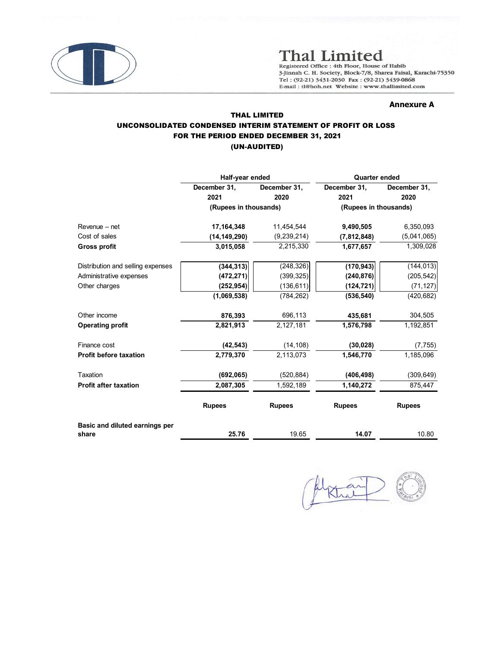

# Annexure A

# THAL LIMITED UNCONSOLIDATED CONDENSED INTERIM STATEMENT OF PROFIT OR LOSS FOR THE PERIOD ENDED DECEMBER 31, 2021 (UN-AUDITED)

|                                          |                                               |                                                                                                                                                                                                              | <b>Thal Limited</b><br>Registered Office : 4th Floor, House of Habib<br>3-Jinnah C. H. Society, Block-7/8, Sharea Faisal, Karachi-75350 |                       |  |  |
|------------------------------------------|-----------------------------------------------|--------------------------------------------------------------------------------------------------------------------------------------------------------------------------------------------------------------|-----------------------------------------------------------------------------------------------------------------------------------------|-----------------------|--|--|
|                                          |                                               | Tel: (92-21) 3431-2030 Fax: (92-21) 3439-0868<br>E-mail: tl@hoh.net Website: www.thallimited.com<br><b>Annexure A</b><br><b>THAL LIMITED</b><br>UNCONSOLIDATED CONDENSED INTERIM STATEMENT OF PROFIT OR LOSS |                                                                                                                                         |                       |  |  |
|                                          | FOR THE PERIOD ENDED DECEMBER 31, 2021        | (UN-AUDITED)                                                                                                                                                                                                 |                                                                                                                                         |                       |  |  |
|                                          | Half-year ended                               |                                                                                                                                                                                                              | Quarter ended                                                                                                                           |                       |  |  |
|                                          | December 31,<br>2021<br>(Rupees in thousands) | December 31,<br>2020                                                                                                                                                                                         | December 31,<br>2021<br>(Rupees in thousands)                                                                                           | December 31,<br>2020  |  |  |
|                                          |                                               |                                                                                                                                                                                                              |                                                                                                                                         |                       |  |  |
| Revenue - net                            | 17,164,348                                    | 11,454,544                                                                                                                                                                                                   | 9,490,505                                                                                                                               | 6,350,093             |  |  |
| Cost of sales                            | (14, 149, 290)                                | (9, 239, 214)                                                                                                                                                                                                | (7,812,848)                                                                                                                             | (5,041,065)           |  |  |
| <b>Gross profit</b>                      | 3,015,058                                     | 2,215,330                                                                                                                                                                                                    | 1,677,657                                                                                                                               | 1,309,028             |  |  |
| Distribution and selling expenses        | (344, 313)                                    | (248, 326)                                                                                                                                                                                                   | (170, 943)                                                                                                                              | (144, 013)            |  |  |
| Administrative expenses                  | (472, 271)                                    | (399, 325)                                                                                                                                                                                                   | (240, 876)                                                                                                                              | (205, 542)            |  |  |
| Other charges                            | (252, 954)                                    | (136, 611)                                                                                                                                                                                                   | (124, 721)                                                                                                                              | (71, 127)             |  |  |
|                                          | (1,069,538)                                   | (784, 262)                                                                                                                                                                                                   | (536, 540)                                                                                                                              | (420, 682)            |  |  |
|                                          |                                               |                                                                                                                                                                                                              |                                                                                                                                         |                       |  |  |
| Other income                             | 876,393                                       | 696,113                                                                                                                                                                                                      | 435,681<br>1,576,798                                                                                                                    | 304,505               |  |  |
| <b>Operating profit</b>                  | 2,821,913                                     | 2,127,181                                                                                                                                                                                                    |                                                                                                                                         | 1,192,851             |  |  |
| Finance cost                             | (42, 543)                                     | (14, 108)                                                                                                                                                                                                    | (30, 028)                                                                                                                               | (7, 755)              |  |  |
| Profit before taxation                   | 2,779,370                                     | 2,113,073                                                                                                                                                                                                    | 1,546,770                                                                                                                               | 1,185,096             |  |  |
|                                          |                                               |                                                                                                                                                                                                              |                                                                                                                                         |                       |  |  |
| Taxation<br><b>Profit after taxation</b> | (692, 065)<br>2,087,305                       | (520, 884)<br>1,592,189                                                                                                                                                                                      | (406, 498)<br>1,140,272                                                                                                                 | (309, 649)<br>875,447 |  |  |
|                                          |                                               |                                                                                                                                                                                                              |                                                                                                                                         |                       |  |  |
|                                          | <b>Rupees</b>                                 | <b>Rupees</b>                                                                                                                                                                                                | <b>Rupees</b>                                                                                                                           | <b>Rupees</b>         |  |  |
| Basic and diluted earnings per           |                                               |                                                                                                                                                                                                              |                                                                                                                                         |                       |  |  |
|                                          | 25.76                                         | 19.65                                                                                                                                                                                                        | 14.07                                                                                                                                   | 10.80                 |  |  |